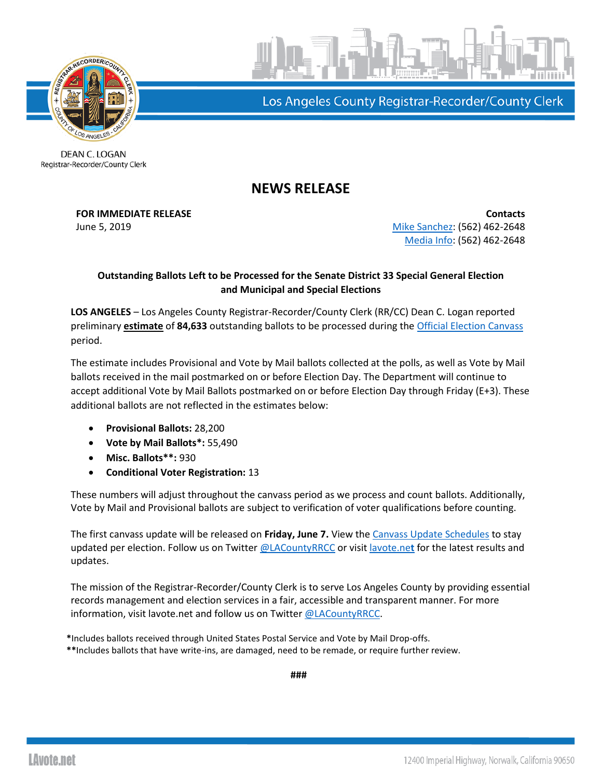

Los Angeles County Registrar-Recorder/County Clerk

DEAN C. LOGAN Registrar-Recorder/County Clerk

## **NEWS RELEASE**

**FOR IMMEDIATE RELEASE Contacts** June 5, 2019 **[Mike Sanchez:](mailto:msanchez@rrcc.lacounty.gov)** (562) 462-2648 [Media Info:](mailto:mediainfo@rrcc.lacounty.gov) (562) 462-2648

## **Outstanding Ballots Left to be Processed for the Senate District 33 Special General Election and Municipal and Special Elections**

**LOS ANGELES** – Los Angeles County Registrar-Recorder/County Clerk (RR/CC) Dean C. Logan reported preliminary **estimate** of **84,633** outstanding ballots to be processed during the [Official Election Canvass](http://www.lavote.net/home/voting-elections/current-elections/election-results/certifying-results) period.

The estimate includes Provisional and Vote by Mail ballots collected at the polls, as well as Vote by Mail ballots received in the mail postmarked on or before Election Day. The Department will continue to accept additional Vote by Mail Ballots postmarked on or before Election Day through Friday (E+3). These additional ballots are not reflected in the estimates below:

- **Provisional Ballots:** 28,200
- **Vote by Mail Ballots\*:** 55,490
- **Misc. Ballots\*\*:** 930
- **Conditional Voter Registration:** 13

These numbers will adjust throughout the canvass period as we process and count ballots. Additionally, Vote by Mail and Provisional ballots are subject to verification of voter qualifications before counting.

The first canvass update will be released on **Friday, June 7.** View the [Canvass Update Schedules](https://www.lavote.net/home/voting-elections/current-elections/upcoming-elections) to stay updated per election. Follow us on Twitter [@LACountyRRCC](https://twitter.com/lacountyrrcc) or visit [lavote.ne](http://www.lavote.net/home/voting-elections/current-elections/election-results)**t** for the latest results and updates.

The mission of the Registrar-Recorder/County Clerk is to serve Los Angeles County by providing essential records management and election services in a fair, accessible and transparent manner. For more information, visit lavote.net and follow us on Twitter [@LACountyRRCC.](https://twitter.com/LACountyRRCC)

**\***Includes ballots received through United States Postal Service and Vote by Mail Drop-offs. **\*\***Includes ballots that have write-ins, are damaged, need to be remade, or require further review.

**###**